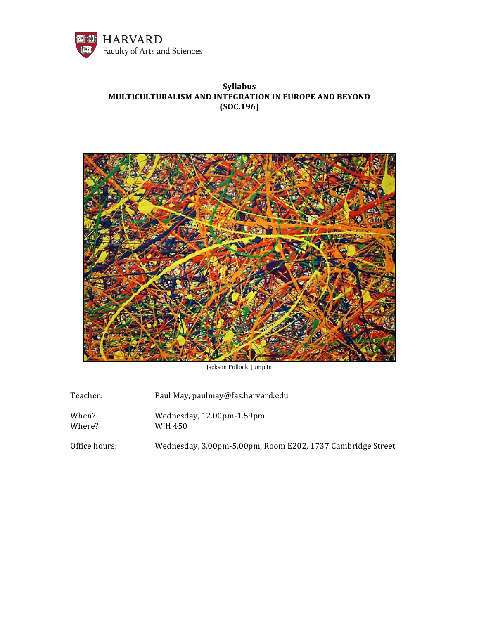

# **Syllabus MULTICULTURALISM AND INTEGRATION IN EUROPE AND BEYOND (SOC.196)**



Jackson Pollock: Jump In

| Teacher:        | Paul May, paulmay@fas.harvard.edu                          |
|-----------------|------------------------------------------------------------|
| When?<br>Where? | Wednesday, 12.00pm-1.59pm<br>WJH 450                       |
| Office hours:   | Wednesday, 3.00pm-5.00pm, Room E202, 1737 Cambridge Street |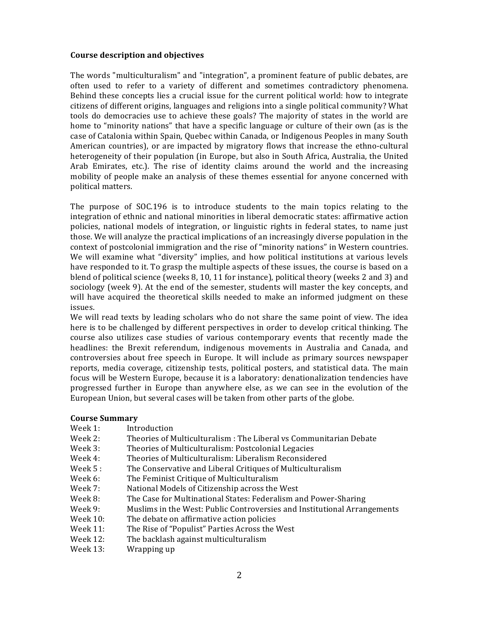#### **Course description and objectives**

The words "multiculturalism" and "integration", a prominent feature of public debates, are often used to refer to a variety of different and sometimes contradictory phenomena. Behind these concepts lies a crucial issue for the current political world: how to integrate citizens of different origins, languages and religions into a single political community? What tools do democracies use to achieve these goals? The majority of states in the world are home to "minority nations" that have a specific language or culture of their own (as is the case of Catalonia within Spain, Quebec within Canada, or Indigenous Peoples in many South American countries), or are impacted by migratory flows that increase the ethno-cultural heterogeneity of their population (in Europe, but also in South Africa, Australia, the United Arab Emirates, etc.). The rise of identity claims around the world and the increasing mobility of people make an analysis of these themes essential for anyone concerned with political matters.

The purpose of SOC.196 is to introduce students to the main topics relating to the integration of ethnic and national minorities in liberal democratic states: affirmative action policies, national models of integration, or linguistic rights in federal states, to name just those. We will analyze the practical implications of an increasingly diverse population in the context of postcolonial immigration and the rise of "minority nations" in Western countries. We will examine what "diversity" implies, and how political institutions at various levels have responded to it. To grasp the multiple aspects of these issues, the course is based on a blend of political science (weeks 8, 10, 11 for instance), political theory (weeks 2 and 3) and sociology (week 9). At the end of the semester, students will master the key concepts, and will have acquired the theoretical skills needed to make an informed judgment on these issues.

We will read texts by leading scholars who do not share the same point of view. The idea here is to be challenged by different perspectives in order to develop critical thinking. The course also utilizes case studies of various contemporary events that recently made the headlines: the Brexit referendum, indigenous movements in Australia and Canada, and controversies about free speech in Europe. It will include as primary sources newspaper reports, media coverage, citizenship tests, political posters, and statistical data. The main focus will be Western Europe, because it is a laboratory: denationalization tendencies have progressed further in Europe than anywhere else, as we can see in the evolution of the European Union, but several cases will be taken from other parts of the globe.

#### **Course Summary**

- Week 1: Introduction
- Week 2: Theories of Multiculturalism : The Liberal vs Communitarian Debate
- Week 3: Theories of Multiculturalism: Postcolonial Legacies
- Week 4: Theories of Multiculturalism: Liberalism Reconsidered
- Week 5 : The Conservative and Liberal Critiques of Multiculturalism
- Week 6: The Feminist Critique of Multiculturalism
- Week 7: National Models of Citizenship across the West
- Week 8: The Case for Multinational States: Federalism and Power-Sharing
- Week 9: Muslims in the West: Public Controversies and Institutional Arrangements
- Week 10: The debate on affirmative action policies
- Week 11: The Rise of "Populist" Parties Across the West
- Week 12: The backlash against multiculturalism
- Week 13: Wrapping up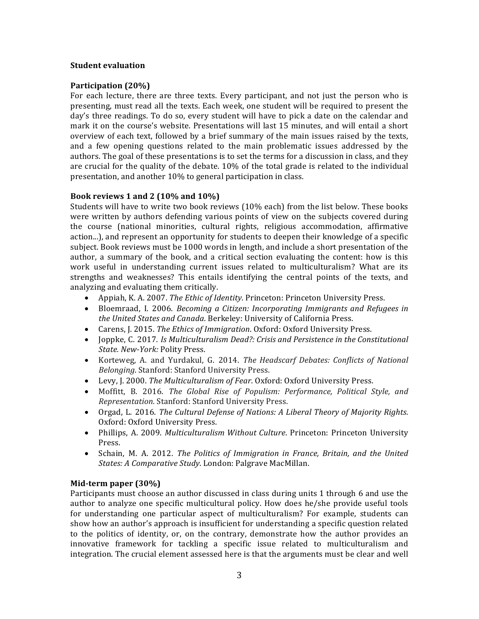### **Student evaluation**

### **Participation (20%)**

For each lecture, there are three texts. Every participant, and not just the person who is presenting, must read all the texts. Each week, one student will be required to present the day's three readings. To do so, every student will have to pick a date on the calendar and mark it on the course's website. Presentations will last 15 minutes, and will entail a short overview of each text, followed by a brief summary of the main issues raised by the texts, and a few opening questions related to the main problematic issues addressed by the authors. The goal of these presentations is to set the terms for a discussion in class, and they are crucial for the quality of the debate. 10% of the total grade is related to the individual presentation, and another 10% to general participation in class.

#### **Book reviews 1 and 2 (10% and 10%)**

Students will have to write two book reviews (10% each) from the list below. These books were written by authors defending various points of view on the subjects covered during the course (national minorities, cultural rights, religious accommodation, affirmative action...), and represent an opportunity for students to deepen their knowledge of a specific subject. Book reviews must be 1000 words in length, and include a short presentation of the author, a summary of the book, and a critical section evaluating the content: how is this work useful in understanding current issues related to multiculturalism? What are its strengths and weaknesses? This entails identifying the central points of the texts, and analyzing and evaluating them critically.

- Appiah, K. A. 2007. *The Ethic of Identity*. Princeton: Princeton University Press.
- Bloemraad, I. 2006. *Becoming a Citizen: Incorporating Immigrants and Refugees in the United States and Canada*. Berkeley: University of California Press.
- Carens, J. 2015. *The Ethics of Immigration*. Oxford: Oxford University Press.
- Joppke, C. 2017. *Is Multiculturalism Dead?: Crisis and Persistence in the Constitutional State. New-York:* Polity Press.
- Korteweg, A. and Yurdakul, G. 2014. *The Headscarf Debates: Conflicts of National Belonging*. Stanford: Stanford University Press.
- Levy, J. 2000. *The Multiculturalism of Fear*. Oxford: Oxford University Press.
- Moffitt, B. 2016. *The Global Rise of Populism: Performance, Political Style, and Representation.* Stanford: Stanford University Press.
- Orgad, L. 2016. *The Cultural Defense of Nations: A Liberal Theory of Majority Rights*. Oxford: Oxford University Press.
- Phillips, A. 2009. *Multiculturalism Without Culture*. Princeton: Princeton University Press.
- Schain, M. A. 2012. *The Politics of Immigration in France, Britain, and the United States: A Comparative Study*. London: Palgrave MacMillan.

### **Mid-term paper (30%)**

Participants must choose an author discussed in class during units 1 through 6 and use the author to analyze one specific multicultural policy. How does he/she provide useful tools for understanding one particular aspect of multiculturalism? For example, students can show how an author's approach is insufficient for understanding a specific question related to the politics of identity, or, on the contrary, demonstrate how the author provides an innovative framework for tackling a specific issue related to multiculturalism and integration. The crucial element assessed here is that the arguments must be clear and well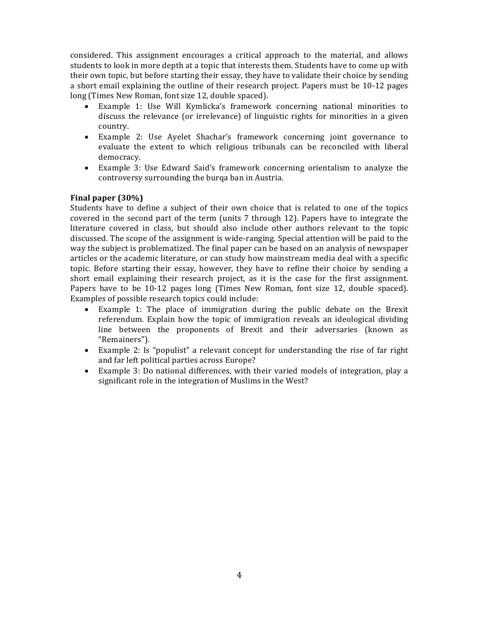considered. This assignment encourages a critical approach to the material, and allows students to look in more depth at a topic that interests them. Students have to come up with their own topic, but before starting their essay, they have to validate their choice by sending a short email explaining the outline of their research project. Papers must be 10-12 pages long (Times New Roman, font size 12, double spaced).

- Example 1: Use Will Kymlicka's framework concerning national minorities to discuss the relevance (or irrelevance) of linguistic rights for minorities in a given country.
- Example 2: Use Ayelet Shachar's framework concerning joint governance to evaluate the extent to which religious tribunals can be reconciled with liberal democracy.
- Example 3: Use Edward Said's framework concerning orientalism to analyze the controversy surrounding the burqa ban in Austria.

# **Final paper (30%)**

Students have to define a subject of their own choice that is related to one of the topics covered in the second part of the term (units 7 through 12). Papers have to integrate the literature covered in class, but should also include other authors relevant to the topic discussed. The scope of the assignment is wide-ranging. Special attention will be paid to the way the subject is problematized. The final paper can be based on an analysis of newspaper articles or the academic literature, or can study how mainstream media deal with a specific topic. Before starting their essay, however, they have to refine their choice by sending a short email explaining their research project, as it is the case for the first assignment. Papers have to be 10-12 pages long (Times New Roman, font size 12, double spaced). Examples of possible research topics could include:

- Example 1: The place of immigration during the public debate on the Brexit referendum. Explain how the topic of immigration reveals an ideological dividing line between the proponents of Brexit and their adversaries (known as "Remainers").
- Example 2: Is "populist" a relevant concept for understanding the rise of far right and far left political parties across Europe?
- Example 3: Do national differences, with their varied models of integration, play a significant role in the integration of Muslims in the West?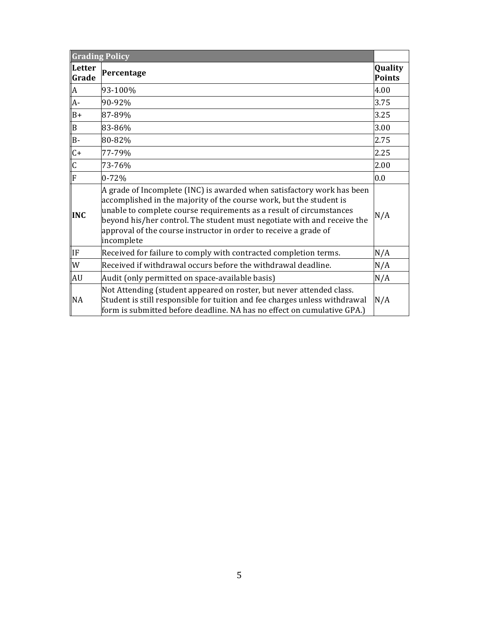| <b>Grading Policy</b>   |                                                                                                                                                                                                                                                                                                                                                                                   |                   |
|-------------------------|-----------------------------------------------------------------------------------------------------------------------------------------------------------------------------------------------------------------------------------------------------------------------------------------------------------------------------------------------------------------------------------|-------------------|
| Letter<br>Grade         | Percentage                                                                                                                                                                                                                                                                                                                                                                        | Quality<br>Points |
| $\overline{A}$          | 93-100%                                                                                                                                                                                                                                                                                                                                                                           | 4.00              |
| $\overline{A}$ -        | 90-92%                                                                                                                                                                                                                                                                                                                                                                            | 3.75              |
| $B+$                    | 87-89%                                                                                                                                                                                                                                                                                                                                                                            | 3.25              |
| $\vert$ B               | 83-86%                                                                                                                                                                                                                                                                                                                                                                            | 3.00              |
| $\overline{B}$          | 80-82%                                                                                                                                                                                                                                                                                                                                                                            | 2.75              |
| $\overline{C}$          | 77-79%                                                                                                                                                                                                                                                                                                                                                                            | 2.25              |
| $\overline{C}$          | 73-76%                                                                                                                                                                                                                                                                                                                                                                            | 2.00              |
| $\overline{\mathbb{F}}$ | $0 - 72%$                                                                                                                                                                                                                                                                                                                                                                         | 0.0               |
| <b>INC</b>              | A grade of Incomplete (INC) is awarded when satisfactory work has been<br>accomplished in the majority of the course work, but the student is<br>unable to complete course requirements as a result of circumstances<br>beyond his/her control. The student must negotiate with and receive the<br>approval of the course instructor in order to receive a grade of<br>incomplete | N/A               |
| llF                     | Received for failure to comply with contracted completion terms.                                                                                                                                                                                                                                                                                                                  | N/A               |
| W                       | Received if withdrawal occurs before the withdrawal deadline.                                                                                                                                                                                                                                                                                                                     | N/A               |
| AU                      | Audit (only permitted on space-available basis)                                                                                                                                                                                                                                                                                                                                   | N/A               |
| <b>NA</b>               | Not Attending (student appeared on roster, but never attended class.<br>Student is still responsible for tuition and fee charges unless withdrawal<br>form is submitted before deadline. NA has no effect on cumulative GPA.)                                                                                                                                                     | N/A               |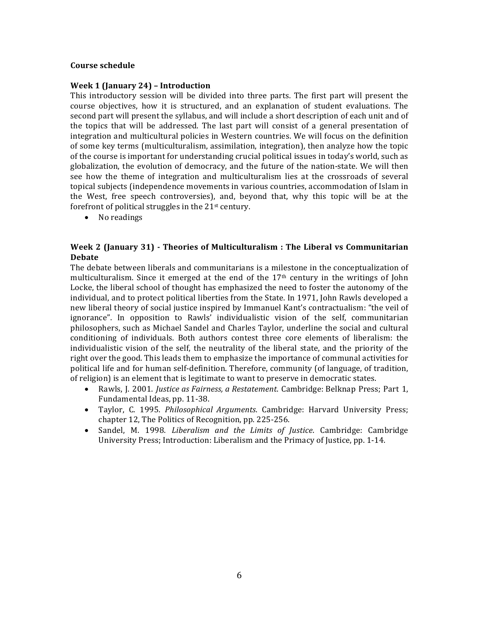### **Course schedule**

#### **Week 1 (January 24) – Introduction**

This introductory session will be divided into three parts. The first part will present the course objectives, how it is structured, and an explanation of student evaluations. The second part will present the syllabus, and will include a short description of each unit and of the topics that will be addressed. The last part will consist of a general presentation of integration and multicultural policies in Western countries. We will focus on the definition of some key terms (multiculturalism, assimilation, integration), then analyze how the topic of the course is important for understanding crucial political issues in today's world, such as globalization, the evolution of democracy, and the future of the nation-state. We will then see how the theme of integration and multiculturalism lies at the crossroads of several topical subjects (independence movements in various countries, accommodation of Islam in the West, free speech controversies), and, beyond that, why this topic will be at the forefront of political struggles in the 21st century.

• No readings

# **Week 2 (January 31) - Theories of Multiculturalism : The Liberal vs Communitarian Debate**

The debate between liberals and communitarians is a milestone in the conceptualization of multiculturalism. Since it emerged at the end of the  $17<sup>th</sup>$  century in the writings of John Locke, the liberal school of thought has emphasized the need to foster the autonomy of the individual, and to protect political liberties from the State. In 1971, John Rawls developed a new liberal theory of social justice inspired by Immanuel Kant's contractualism: "the veil of ignorance". In opposition to Rawls' individualistic vision of the self, communitarian philosophers, such as Michael Sandel and Charles Taylor, underline the social and cultural conditioning of individuals. Both authors contest three core elements of liberalism: the individualistic vision of the self, the neutrality of the liberal state, and the priority of the right over the good. This leads them to emphasize the importance of communal activities for political life and for human self-definition. Therefore, community (of language, of tradition, of religion) is an element that is legitimate to want to preserve in democratic states.

- Rawls, J. 2001. *Justice as Fairness, a Restatement*. Cambridge: Belknap Press; Part 1, Fundamental Ideas, pp. 11-38.
- Taylor, C. 1995. *Philosophical Arguments*. Cambridge: Harvard University Press; chapter 12, The Politics of Recognition, pp. 225-256.
- Sandel, M. 1998. *Liberalism and the Limits of Justice*. Cambridge: Cambridge University Press; Introduction: Liberalism and the Primacy of Justice, pp. 1-14.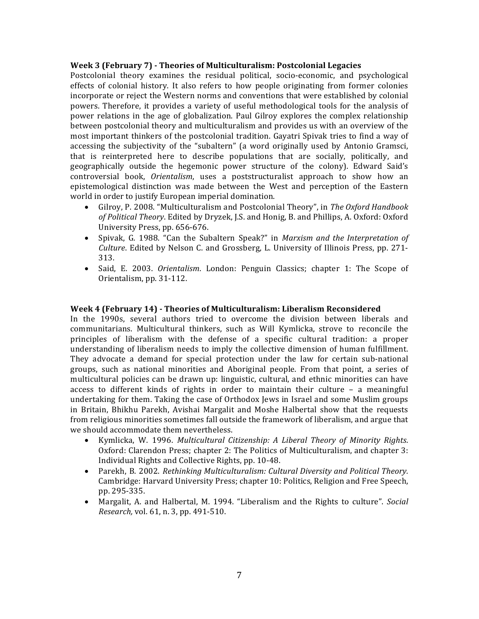#### **Week 3 (February 7) - Theories of Multiculturalism: Postcolonial Legacies**

Postcolonial theory examines the residual political, socio-economic, and psychological effects of colonial history. It also refers to how people originating from former colonies incorporate or reject the Western norms and conventions that were established by colonial powers. Therefore, it provides a variety of useful methodological tools for the analysis of power relations in the age of globalization. Paul Gilroy explores the complex relationship between postcolonial theory and multiculturalism and provides us with an overview of the most important thinkers of the postcolonial tradition. Gayatri Spivak tries to find a way of accessing the subjectivity of the "subaltern" (a word originally used by Antonio Gramsci, that is reinterpreted here to describe populations that are socially, politically, and geographically outside the hegemonic power structure of the colony). Edward Said's controversial book, *Orientalism*, uses a poststructuralist approach to show how an epistemological distinction was made between the West and perception of the Eastern world in order to justify European imperial domination.

- Gilroy, P. 2008. "Multiculturalism and Postcolonial Theory", in *The Oxford Handbook of Political Theory*. Edited by Dryzek, J.S. and Honig, B. and Phillips, A. Oxford: Oxford University Press, pp. 656-676.
- Spivak, G. 1988. "Can the Subaltern Speak?" in *Marxism and the Interpretation of Culture*. Edited by Nelson C. and Grossberg, L. University of Illinois Press, pp. 271- 313.
- Said, E. 2003. *Orientalism*. London: Penguin Classics; chapter 1: The Scope of Orientalism, pp. 31-112.

#### **Week 4 (February 14) - Theories of Multiculturalism: Liberalism Reconsidered**

In the 1990s, several authors tried to overcome the division between liberals and communitarians. Multicultural thinkers, such as Will Kymlicka, strove to reconcile the principles of liberalism with the defense of a specific cultural tradition: a proper understanding of liberalism needs to imply the collective dimension of human fulfillment. They advocate a demand for special protection under the law for certain sub-national groups, such as national minorities and Aboriginal people. From that point, a series of multicultural policies can be drawn up: linguistic, cultural, and ethnic minorities can have access to different kinds of rights in order to maintain their culture – a meaningful undertaking for them. Taking the case of Orthodox Jews in Israel and some Muslim groups in Britain, Bhikhu Parekh, Avishai Margalit and Moshe Halbertal show that the requests from religious minorities sometimes fall outside the framework of liberalism, and argue that we should accommodate them nevertheless.

- Kymlicka, W. 1996. *Multicultural Citizenship: A Liberal Theory of Minority Rights*. Oxford: Clarendon Press; chapter 2: The Politics of Multiculturalism, and chapter 3: Individual Rights and Collective Rights, pp. 10-48.
- Parekh, B. 2002. *Rethinking Multiculturalism: Cultural Diversity and Political Theory.* Cambridge: Harvard University Press; chapter 10: Politics, Religion and Free Speech, pp. 295-335.
- Margalit, A. and Halbertal, M. 1994. "Liberalism and the Rights to culture". *Social Research,* vol. 61, n. 3, pp. 491-510.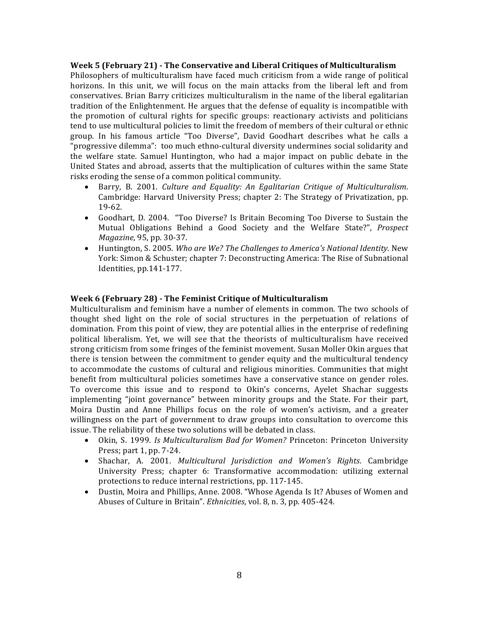#### **Week 5 (February 21) - The Conservative and Liberal Critiques of Multiculturalism**

Philosophers of multiculturalism have faced much criticism from a wide range of political horizons. In this unit, we will focus on the main attacks from the liberal left and from conservatives. Brian Barry criticizes multiculturalism in the name of the liberal egalitarian tradition of the Enlightenment. He argues that the defense of equality is incompatible with the promotion of cultural rights for specific groups: reactionary activists and politicians tend to use multicultural policies to limit the freedom of members of their cultural or ethnic group. In his famous article "Too Diverse", David Goodhart describes what he calls a "progressive dilemma": too much ethno-cultural diversity undermines social solidarity and the welfare state. Samuel Huntington, who had a major impact on public debate in the United States and abroad, asserts that the multiplication of cultures within the same State risks eroding the sense of a common political community.

- Barry, B. 2001. *Culture and Equality: An Egalitarian Critique of Multiculturalism*. Cambridge: Harvard University Press; chapter 2: The Strategy of Privatization, pp. 19-62.
- Goodhart, D. 2004. "Too Diverse? Is Britain Becoming Too Diverse to Sustain the Mutual Obligations Behind a Good Society and the Welfare State?", *Prospect Magazine*, 95, pp. 30-37.
- Huntington, S. 2005. *Who are We? The Challenges to America's National Identity*. New York: Simon & Schuster; chapter 7: Deconstructing America: The Rise of Subnational Identities, pp.141-177.

### **Week 6 (February 28) - The Feminist Critique of Multiculturalism**

Multiculturalism and feminism have a number of elements in common. The two schools of thought shed light on the role of social structures in the perpetuation of relations of domination. From this point of view, they are potential allies in the enterprise of redefining political liberalism. Yet, we will see that the theorists of multiculturalism have received strong criticism from some fringes of the feminist movement. Susan Moller Okin argues that there is tension between the commitment to gender equity and the multicultural tendency to accommodate the customs of cultural and religious minorities. Communities that might benefit from multicultural policies sometimes have a conservative stance on gender roles. To overcome this issue and to respond to Okin's concerns, Ayelet Shachar suggests implementing "joint governance" between minority groups and the State. For their part, Moira Dustin and Anne Phillips focus on the role of women's activism, and a greater willingness on the part of government to draw groups into consultation to overcome this issue. The reliability of these two solutions will be debated in class.

- Okin, S. 1999. *Is Multiculturalism Bad for Women?* Princeton: Princeton University Press; part 1, pp. 7-24.
- Shachar, A. 2001. *Multicultural Jurisdiction and Women's Rights*. Cambridge University Press; chapter 6: Transformative accommodation: utilizing external protections to reduce internal restrictions, pp. 117-145.
- Dustin, Moira and Phillips, Anne. 2008. "Whose Agenda Is It? Abuses of Women and Abuses of Culture in Britain". *Ethnicities*, vol. 8, n. 3, pp. 405-424.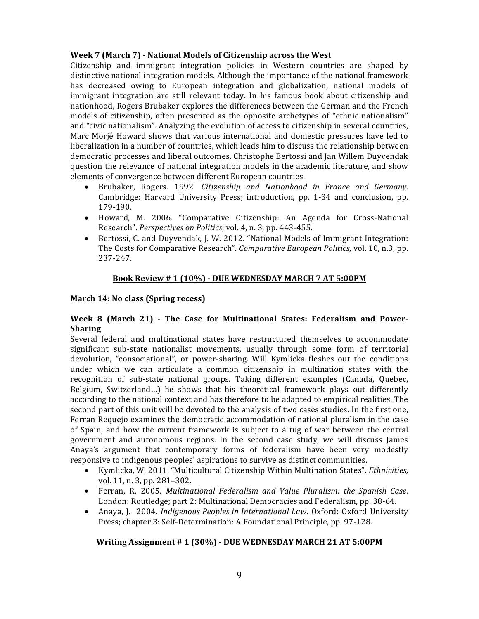# **Week 7 (March 7) - National Models of Citizenship across the West**

Citizenship and immigrant integration policies in Western countries are shaped by distinctive national integration models. Although the importance of the national framework has decreased owing to European integration and globalization, national models of immigrant integration are still relevant today. In his famous book about citizenship and nationhood, Rogers Brubaker explores the differences between the German and the French models of citizenship, often presented as the opposite archetypes of "ethnic nationalism" and "civic nationalism". Analyzing the evolution of access to citizenship in several countries, Marc Morjé Howard shows that various international and domestic pressures have led to liberalization in a number of countries, which leads him to discuss the relationship between democratic processes and liberal outcomes. Christophe Bertossi and Jan Willem Duyvendak question the relevance of national integration models in the academic literature, and show elements of convergence between different European countries.

- Brubaker, Rogers. 1992. *Citizenship and Nationhood in France and Germany*. Cambridge: Harvard University Press; introduction, pp. 1-34 and conclusion, pp. 179-190.
- Howard, M. 2006. "Comparative Citizenship: An Agenda for Cross-National Research". *Perspectives on Politics*, vol. 4, n. 3, pp. 443-455.
- Bertossi, C. and Duyvendak, J. W. 2012. "National Models of Immigrant Integration: The Costs for Comparative Research". *Comparative European Politics*, vol. 10, n.3, pp. 237-247.

# **Book Review # 1 (10%) - DUE WEDNESDAY MARCH 7 AT 5:00PM**

# **March 14: No class (Spring recess)**

# **Week 8 (March 21) - The Case for Multinational States: Federalism and Power-Sharing**

Several federal and multinational states have restructured themselves to accommodate significant sub-state nationalist movements, usually through some form of territorial devolution, "consociational", or power-sharing. Will Kymlicka fleshes out the conditions under which we can articulate a common citizenship in multination states with the recognition of sub-state national groups. Taking different examples (Canada, Quebec, Belgium, Switzerland…) he shows that his theoretical framework plays out differently according to the national context and has therefore to be adapted to empirical realities. The second part of this unit will be devoted to the analysis of two cases studies. In the first one, Ferran Requejo examines the democratic accommodation of national pluralism in the case of Spain, and how the current framework is subject to a tug of war between the central government and autonomous regions. In the second case study, we will discuss James Anaya's argument that contemporary forms of federalism have been very modestly responsive to indigenous peoples' aspirations to survive as distinct communities.

- Kymlicka, W. 2011. "Multicultural Citizenship Within Multination States". *Ethnicities,* vol. 11, n. 3, pp. 281–302.
- Ferran, R. 2005. *Multinational Federalism and Value Pluralism: the Spanish Case.* London: Routledge; part 2: Multinational Democracies and Federalism, pp. 38-64.
- Anaya, J. 2004. *Indigenous Peoples in International Law*. Oxford: Oxford University Press; chapter 3: Self-Determination: A Foundational Principle, pp. 97-128.

### **Writing Assignment # 1 (30%) - DUE WEDNESDAY MARCH 21 AT 5:00PM**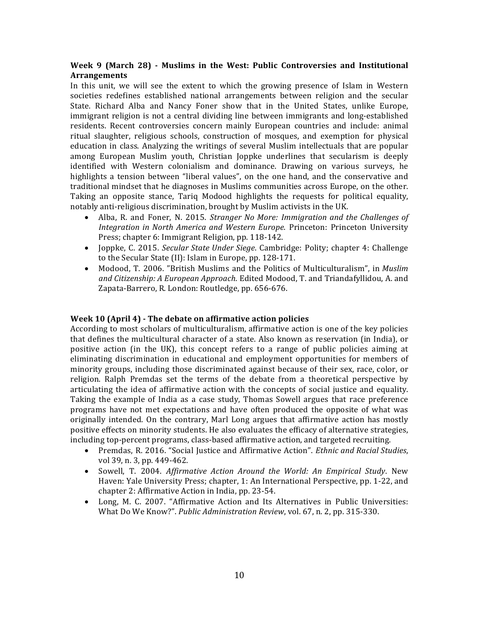# **Week 9 (March 28) - Muslims in the West: Public Controversies and Institutional Arrangements**

In this unit, we will see the extent to which the growing presence of Islam in Western societies redefines established national arrangements between religion and the secular State. Richard Alba and Nancy Foner show that in the United States, unlike Europe, immigrant religion is not a central dividing line between immigrants and long-established residents. Recent controversies concern mainly European countries and include: animal ritual slaughter, religious schools, construction of mosques, and exemption for physical education in class. Analyzing the writings of several Muslim intellectuals that are popular among European Muslim youth, Christian Joppke underlines that secularism is deeply identified with Western colonialism and dominance. Drawing on various surveys, he highlights a tension between "liberal values", on the one hand, and the conservative and traditional mindset that he diagnoses in Muslims communities across Europe, on the other. Taking an opposite stance, Tariq Modood highlights the requests for political equality, notably anti-religious discrimination, brought by Muslim activists in the UK.

- Alba, R. and Foner, N. 2015. *Stranger No More: Immigration and the Challenges of Integration in North America and Western Europe*. Princeton: Princeton University Press; chapter 6: Immigrant Religion, pp. 118-142.
- Joppke, C. 2015. *Secular State Under Siege*. Cambridge: Polity; chapter 4: Challenge to the Secular State (II): Islam in Europe, pp. 128-171.
- Modood, T. 2006. "British Muslims and the Politics of Multiculturalism", in *Muslim and Citizenship: A European Approach*. Edited Modood, T. and Triandafyllidou, A. and Zapata-Barrero, R. London: Routledge, pp. 656-676.

### **Week 10 (April 4) - The debate on affirmative action policies**

According to most scholars of multiculturalism, affirmative action is one of the key policies that defines the multicultural character of a state. Also known as reservation (in India), or positive action (in the UK), this concept refers to a range of public policies aiming at eliminating discrimination in educational and employment opportunities for members of minority groups, including those discriminated against because of their sex, race, color, or religion. Ralph Premdas set the terms of the debate from a theoretical perspective by articulating the idea of affirmative action with the concepts of social justice and equality. Taking the example of India as a case study, Thomas Sowell argues that race preference programs have not met expectations and have often produced the opposite of what was originally intended. On the contrary, Marl Long argues that affirmative action has mostly positive effects on minority students. He also evaluates the efficacy of alternative strategies, including top-percent programs, class-based affirmative action, and targeted recruiting.

- Premdas, R. 2016. "Social Justice and Affirmative Action". *Ethnic and Racial Studies*, vol 39, n. 3, pp. 449-462.
- Sowell, T. 2004. *Affirmative Action Around the World: An Empirical Study*. New Haven: Yale University Press; chapter, 1: An International Perspective, pp. 1-22, and chapter 2: Affirmative Action in India, pp. 23-54.
- Long, M. C. 2007. "Affirmative Action and Its Alternatives in Public Universities: What Do We Know?". *Public Administration Review*, vol. 67, n. 2, pp. 315-330.